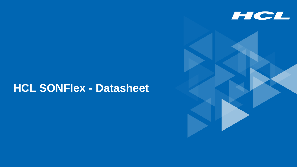

# **HCL SONFlex - Datasheet**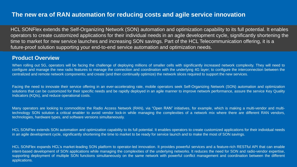# **The new era of RAN automation for reducing costs and agile service innovation**

HCL SONFlex extends the Self-Organizing Network (SON) automation and optimization capability to its full potential. It enables operators to create customized applications for their individual needs in an agile development cycle, significantly shortening the time to market for new service launches and increasing SON savings. Part of the HCL Telecommunication offering, it is a future-proof solution supporting your end-to-end service automation and optimization needs.

#### **Product Overview**

When rolling out 5G, operators will be facing the challenge of deploying millions of smaller cells with significantly increased network complexity. They will need to configure and manage the new radio features to manage the connection and coordination with the underlying 4G layer; to configure the interconnection between the centralized and remote network components; and create (and then continually optimize) the network slices required to support the new services.

Facing the need to innovate their service offering in an ever-accelerating rate, mobile operators seek Self-Organizing Network (SON) automation and optimization solutions that can be customized for their specific needs and be rapidly deployed in an agile manner to improve network performance, assure the service Key Quality Indicators (KQIs), and reduce operational costs.

Many operators are looking to commoditize the Radio Access Network (RAN), via "Open RAN" initiatives, for example, which is making a multi-vendor and multitechnology SON solution a critical enabler to avoid vendor lock-in while managing the complexities of a network mix where there are different RAN vendors, technologies, hardware types, and software versions simultaneously.

HCL SONFlex extends SON automation and optimization capability to its full potential. It enables operators to create customized applications for their individual needs in an agile development cycle, significantly shortening the time to market to be ready for service launch and to make the most of SON savings.

2 Technology for the Next Decade, Today. Copyright © 2020 HCl Technology for the Next Decade, Today. Computer Limited in which computer Limited in the Next Decade, Today. Computer Limited in the Next Decade, The Next Decad HCL SONFlex expands HCL's market-leading SON platform to operator-led innovation. It provides powerful services and a feature-rich RESTful API that can enable intent-based development of SON applications while managing the complexities of the underlying networks. It reduces the need for SON and radio-vendor expertise, supporting deployment of multiple SON functions simultaneously on the same network with powerful conflict management and coordination between the different applications.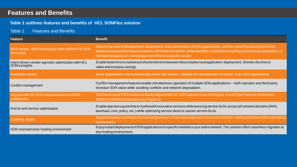# **Features and Benefits**

#### **Table 1 outlines features and benefits of HCL SONFlex solution**

#### Table 1. Features and Benefits

| <b>Feature</b>                                                        | <b>Benefit</b>                                                                                                                                                                                                                                                                                                                      |
|-----------------------------------------------------------------------|-------------------------------------------------------------------------------------------------------------------------------------------------------------------------------------------------------------------------------------------------------------------------------------------------------------------------------------|
| Multi-vendor, Multi-technology open platform for SON<br>innovation    | Reduce the cost of development, deployment, and maintenance of SON applications, and the cost of introducing new SON<br>solutions successfully into your network. Eliminate the need to understand the complexities of writing a closed-loop application, or<br>the internal aspects of connecting to the RAN of a specific vendor. |
| Intent-driven vendor-agnostic optimization with HCL<br>SON's insights | Enable faster time to market and shorten the time between idea inception and application deployment. Shorten the time to<br>value and increase savings.                                                                                                                                                                             |
| <b>Feedback service</b>                                               | Avoid degradation and automatically revert bad actions. Simplify the development of closed- loop SON applications.                                                                                                                                                                                                                  |
| Conflict management                                                   | Conflict management features enable simultaneous operation of multiple SON applications- both operator and third-party.<br>Increase SON value while avoiding conflicts and network degradation.                                                                                                                                     |
| Aligned with 5G SON requirements and ONAP<br>architecture             | This future-proof SON solution is ideally aligned with 5G SON requirements (see Figure 1) and Open Network Automation<br>Platform (ONAP) architecture (see Figure 2).                                                                                                                                                               |
| End-to-end service optimization                                       | Enable operators quick time to market with innovative services while assuring service SLAs across all network domains (RAN,<br>backhaul, core, policy, etc.) while optimizing service slices to assure service SLAs.                                                                                                                |
| <b>SONFlex Studio</b>                                                 | Support extreme automation by non-programmers. Free radio engineers to focus on decision- making activities while automating<br>routine tasks.                                                                                                                                                                                      |
| SON microservices hosting environment                                 | Enjoy instant deployment of SON applications for specific markets or your entire network. The solution offers seamless migration to<br>any hosting environment.                                                                                                                                                                     |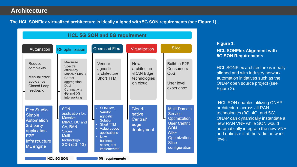# **Architecture**

**The HCL SONFlex virtualized architecture is ideally aligned with 5G SON requirements (see Figure 1).**



#### **Figure 1.**

**HCL SONFlex Alignment with 5G SON Requirements**

HCL SONFlex architecture is ideally aligned and with industry network automation initiatives such as the ONAP open source project (see Figure 2).

HCL SON enables utilizing ONAP architecture across all RAN technologies (3G, 4G, and 5G). ONAP can dynamically instantiate a new RAN VNF while SON would automatically integrate the new VNF and optimize it at the radio network level.

**HCL 5G SON** 

**5G** requirements

 $\mathcal{A}_\mathcal{A}$  Technology for the Next Decade, Today. Copyright  $\mathcal{A}_\mathcal{A}$  and  $\mathcal{A}_\mathcal{A}$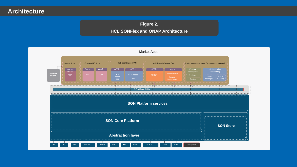# **Architecture**

## **Figure 2. HCL SONFlex and ONAP Architecture**

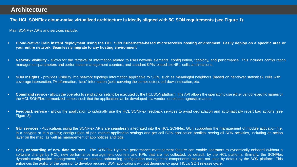# **Architecture**

The HCL SONFlex cloud-native virtualized architecture is ideally aligned with 5G SON requirements (see Figure 1).

Main SONFlex APIs and services include:

- Cloud-Native: Gain instant deployment using the HCL SON Kubernetes-based microservices hosting environment. Easily deploy on a specific area or **your entire network. Seamlessly migrate to any hosting environment**
- Network visibility allows for the retrieval of information related to RAN network elements, configuration, topology, and performance. This includes configuration management parameters and performance management counters, and standard KPIs related to eNBs, cells, and relations.
- **SON Insights** provides visibility into network topology information applicable to SON, such as meaningful neighbors (based on handover statistics), cells with coverage intersection, TAinformation, "face" information (cells covering the same sector), cell down indication, etc.
- **Command service** allows the operator to send action sets to be executed by the HCLSON platform. The API allows the operator to use either vendor-specific names or the HCLSONFlex harmonized names, such that the application can be developed in a vendor- or release-agnostic manner.
- Feedback service allows the application to optionally use the HCL SONFlex feedback services to avoid degradation and automatically revert bad actions (see Figure 3).
- **EXECT GUI services** Applications using the SONFlex APIs are seamlessly integrated into the HCL SONFlex GUI, supporting the management of module activation (i.e. in a polygon or in a group); configuration of per- market application settings and per-cell SON application profiles; seeing all SON activities, including an action layer on the map; as well as management of app notices and logs.
- enhances the agility of the operator to develop required SON applications without dependency upon HCL's SON release cycle. **Easy onboarding of new data sources** - The SONFlex Dynamic performance management feature can enable operators to dynamically onboard (without a software change by HCL) new performance management counters and KPIs that are not collected, by default, by the HCL platform. Similarly, the SONFlex dynamic configuration management feature enables onboarding configuration management components that are not used by default by the SON platform. This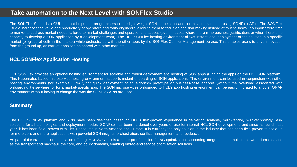# **Take automation to the Next Level with SONFlex Studio**

The SONFlex Studio is a GUI tool that helps non-programmers create light-weight SON automation and optimization solutions using SONFlex APIs. The SONFlex Studio increases the value and productivity of operators and radio engineers, allowing them to focus on decision-making instead of routine tasks. It supports zero time to market to address market needs, tailored to market challenges and operational practices (even in cases where there is no business justification, or when there is no capacity to develop a SON application by a development team). The HCL SONFlex hosting environment allows instant local deployment of the solution in a specific market (or group of cells in the market) while orchestrated with the other apps by the SONFlex Conflict Management service. This enables users to drive innovation from the ground up, as market apps can be shared with other markets.

#### **HCL SONFlex Application Hosting**

HCL SONFlex provides an optional hosting environment for scalable and robust deployment and hosting of SON apps (running the apps on the HCL SON platform). This Kubernetes-based microservice-hosting environment supports instant onboarding of SON applications. This environment can be used in conjunction with other hosting environments (for example, ONAP) for quick deployment of an algorithm prototype or business-case analysis (without the overhead associated with onboarding it elsewhere) or for a market-specific app. The SON microservices onboarded to HCL's app hosting environment can be easily migrated to another ONAP environment without having to change the way the SONFlex APIs are used.

#### **Summary**

The HCL SONFlex platform and APIs have been designed based on HCL's field-proven experience in delivering scalable, multi-vendor, multi-technology SON solutions for all technologies and deployment modes. SONFlex has been hardened over years of use for internal HCL SON development, and since its launch last year, it has been field- proven with Tier 1 accounts in North America and Europe. It is currently the only solution in the industry that has been field-proven to scale up for more cells and more applications with powerful SON insights, orchestration, conflict management, and feedback.

As part of the HCL Telecommunication offering, HCL SONFlex is a future-proof solution for 5G optimization, supporting integration into multiple network domains such as the transport and backhaul, the core, and policy domains, enabling end-to-end service optimization solutions